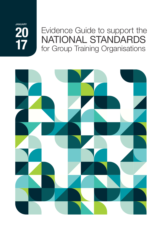**20 17** JANUARY

# Evidence Guide to support the NATIONAL STANDARDS for Group Training Organisations

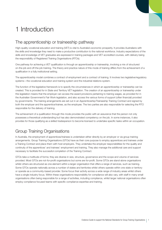# 1 Introduction

# The apprenticeship or traineeship pathway

High-quality vocational education and training (VET) is vital to Australia's economic prosperity. It provides Australians with the skills and knowledge they need to make a productive contribution to the national workforce. Industry expectations of the skills and knowledge of VET graduates are expressed in training packages and VET accredited courses, with delivery being the responsibility of Registered Training Organisations (RTOs).

One pathway for achieving a VET qualification is through an apprenticeship or traineeship, involving a mix of structured on-the-job and off-the-job training. The theory and practice nature of this mode of training differs from the achievement of a qualification in a fully institutional setting.

The apprenticeship model combines a contract of employment and a contract of training. It involves two legislative/regulatory systems—the vocational education and training system and the industrial relations system.

The function of the legislative framework is to specify the circumstances in which an apprenticeship or traineeship can be created. This is provided for in State and Territory VET legislation. The creation of an apprenticeship or traineeship under this legislation means that the employer can access the award provisions pertaining to training wages, as provided for in the Australian Government's Fair Work legislation, and also access the various forms of support (often financial) provided by governments. The training arrangements are set out in an Apprenticeship/Traineeship Training Contract and signed by both the employer and the apprentice/trainee, as the employee. The two parties are also responsible for selecting the RTO responsible for the delivery of training.

The achievement of a qualification through this mode provides the public with an assurance that the person not only possesses a theoretical understanding but has also demonstrated competency on the job. In some instances, it also provides for those qualifying as a skilled tradesperson to become licensed to undertake specific tasks within an occupation.

# Group Training Organisations

In Australia, the employment of apprentices/trainees is undertaken either directly by an employer or via group training arrangements. Group Training Organisations (GTOs) have as their core purpose to employ apprentices and trainees under a Training Contract and place them with host employers. They undertake the employer responsibilities for the quality and continuity of the apprentices' and trainees' employment and training. They also manage the additional care and support necessary to facilitate the successful completion of the Training Contract.

GTOs take a multitude of forms; they are diverse in size, structure, governance and the scope and volume of services provided. Most GTOs are not-for-profit organisations but some are for-profit. Some GTOs are stand-alone organisations whilst others are structured as one element within a larger organisation that offers a range of services, such as training. Some GTOs operate nationally across a number of states and territories whilst others operate within one state or territory or operate as a community-based provider. Some focus their activity across a wide range of industry areas whilst others have a single industry focus. Within these organisations responsibility for compliance will also vary, with staff in many small organisations often being responsible for a range of activities, including compliance, whilst larger national organisations often employ compliance focused teams with specific compliance expertise and training.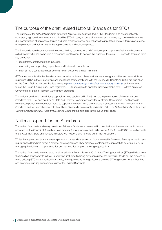# The purpose of the draft revised National Standards for GTOs

The purpose of the *National Standards for Group Training Organisations (2017)* (the Standards) is to ensure nationally consistent, high-quality services are provided by GTOs in carrying out their core role and in doing so, operate ethically, with due consideration of apprentice, trainee and host employer needs, and enhance the reputation of group training as a model of employment and training within the apprenticeship and traineeship system.

The Standards have been structured to reflect the key outcome for a GTO to develop an apprentice/trainee to become a skilled worker who has completed a recognised qualification. To achieve this quality outcome a GTO needs to focus on three key elements:

- recruitment, employment and induction;
- monitoring and supporting apprentices and trainees to completion;
- maintaining a sustainable business that is well governed and administered.

GTOs must comply with the Standards in order to be registered. State and territory training authorities are responsible for registering GTOs in their jurisdictions and monitoring their compliance with the Standards. Registered GTOs are published on the Group Training National Register website (*www.australianapprenticeships.gov.au/group-training*) and are entitled to use the Group Training logo. Once registered, GTOs are eligible to apply for funding available for GTOs from Australian Government or State or Territory Government programs.

The national quality framework for group training was established in 2003 with the implementation of the first National Standards for GTOs, approved by all State and Territory Governments and the Australian Government. The Standards were accompanied by a Resource Guide to support and assist GTOs and auditors in assessing their compliance with the Standards and for internal review activities. These Standards were slightly revised in 2006. The *National Standards for Group Training Organisations 2017 and this Evidence Guide* are the next step in this evolutionary chain.

### National support for the Standards

The revised Standards and newly developed Evidence Guide were developed in consultation with states and territories and endorsed by the Council of Australian Governments' (COAG) Industry and Skills Council (CISC). This COAG Council consists of the Australian, State and Territory ministers with responsibility for skills within their jurisdiction.

Whilst the apprenticeship and traineeship system in Australia is subject to Commonwealth. State and Territory legislation and regulation the Standards reflect a national policy agreement. They provide a contemporary approach to assuring quality in managing the delivery of apprenticeships and traineeships by group training organisations.

The revised Standards were adopted by all jurisdictions from 1 January 2017. State Training Authorities (STAs) will determine the transition arrangements in their jurisdictions, including finalising any audits under the previous Standards, the process to move existing GTOs to the revised Standards, the requirements for organisations seeking GTO registration for the first time and any future auditing arrangements under the revised Standards.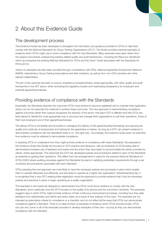# 2 About this Evidence Guide

# The development process

This Evidence Guide has been developed to strengthen the information and guidance provided to GTOs to help them comply with the *National Standards for Group Training Organisations (2017)*. The Guide provides practical examples of evidence which GTOs might use to show compliance with the new Standards. Many examples have been drawn from the support documents underpinning existing related quality and audit frameworks—including the *Resource Handbook* which accompanies the existing National Standards for GTOs and the *Users' Guide* associated with the Standards for RTOs (2015).

Advice on examples has also been provided through consultations with STAs, National Apprentice Employment Network (NAEN), state/territory Group Training Associations and their members, as well as from non-GTA members and other relevant stakeholders.

The aim of this exercise has been to ensure consistency/complementarity, where appropriate, with other quality and audit frameworks in the VET sector, while minimising the regulatory burden and maximising transparency for employers and potential apprentices/trainees.

# Providing evidence of compliance with the Standards

Essentially, the Standards describe the outcomes GTOs must achieve to become registered and to maintain their registration status, but do not prescribe the methods to achieve these outcomes. The new approach to demonstrating compliance against outcomes rather than outputs recognises the diversity of the sector, that each GTO is different and that GTOs are best placed to decide the most appropriate way to structure and manage their organisations to suit their operations, those of their host employers and of their apprentices/trainees.

This allows GTOs to be flexible and innovative in managing the delivery of the apprenticeship/traineeship and assuring the quality and continuity of employment and training for the apprentice or trainee. As long as a GTO can present evidence to demonstrate compliance with the Standards there is no 'one right way'. Accordingly, the Evidence Guide does not prescribe how evidence must be retained to demonstrate compliance.

In assisting GTOs to understand how they might provide evidence of compliance with these Standards, the examples in this *Evidence Guide (the Guide)* are focused on GTO practice and behaviour, with an emphasis on GTOs being able to demonstrate increased use of feedback and review and the action they have taken to accommodate the advice provided by clients, where appropriate. This presumes the GTO has developed policies and procedures related to each of the Standards as essential to guiding their operations. This differs from the arrangements in place for the previous *National Standards for GTOs (2003)* where auditing processes against the Standards focused on satisfying evidentiary requirements through a set of policies and procedures associated with each Standard.

GTOs adopting this new approach are more likely to have the necessary policies and processes in place which enable them to operate effectively and efficiently, and less likely to operate as a higher risk organisation. Notwithstanding this, it is recognised that a new GTO seeking initial registration would be expected to provide evidence that it has the necessary policies and practices in place to begin operating as a quality organisation.

The examples in the Guide are designed to demonstrate how GTOs could show evidence to comply with the new Standards, and in particular, how the GTO focuses on the quality of its service and the outcomes it achieves. The examples suggest ways in which GTOs might provide evidence of their continuous improvement processes, including how they seek feedback from stakeholders and clients and action taken as a result of their analysis of this input. The examples are not intended as prescriptive criteria for compliance or a checklist, and do not reflect all the ways that GTOs can demonstrate compliance against a Standard. There is no ideal number of examples of evidence which GTOs should provide. GTOs can use one, some or all of the examples provided or develop examples of their own—as long as they can demonstrate compliance with the Standard.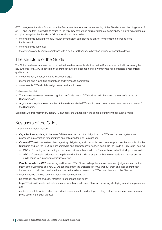GTO management and staff should use the Guide to obtain a clearer understanding of the Standards and the obligations of a GTO and use that knowledge to structure the way they gather and retain evidence of compliance. In providing evidence of compliance against the Standards GTOs should consider whether:

- the evidence is sufficient to show regular or consistent compliance as distinct from evidence of inconsistent implementation;
- the evidence is authentic:
- the evidence clearly shows compliance with a particular Standard rather than inferred or general evidence.

# The structure of the Guide

The Guide has been structured to focus on the three key elements identified in the Standards as critical to achieving the key outcome for a GTO to develop an apprentice/trainee to become a skilled worker who has completed a recognised qualification:

- the recruitment, employment and induction stage;
- monitoring and supporting apprentices and trainees to completion;
- a sustainable GTO which is well governed and administered.

Each element contains:

- The context—an overview reflecting the specific element of GTO business which covers the intent of a group of Standards; and
- A guide to compliance—examples of the evidence which GTOs could use to demonstrate compliance with each of the Standards.

Equipped with this information, each GTO can apply the Standards in the context of their own operational model.

# Key users of the Guide

Key users of the Guide include:

- Organisations applying to become GTOs-to understand the obligations of a GTO, and develop systems and processes in preparation for submitting an application for initial registration;
- Current GTOs—to understand their regulatory obligations, and to establish and maintain practices that comply with the Standards and suit the GTO, its host employers and apprentices/trainees. In particular, the Guide is likely to be used by:
	- GTO staff creating and recording evidence of their compliance with the Standards as part of their day-to-day work;
	- GTO staff assessing evidence of compliance with the Standards as part of their internal review processes and to guide continuous improvement initiatives; and
- People outside the GTO—including auditors and STA officers, to help them make consistent judgements about the intent of the Standards and how GTOs can implement the Standards in ways that suit them and their apprentices/ trainees and to help them evaluate the evidence for external review of a GTO's compliance with the Standards.

To meet the needs of these users the Guide has been designed to:

- be practical, relevant and easy for users to understand and apply;
- help GTOs identify evidence to demonstrate compliance with each Standard, including identifying areas for improvement; and
- enable a template for internal review and self-assessment to be developed, noting that self-assessment mechanisms prove useful in the audit process.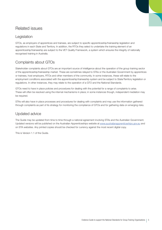# Related issues

#### Legislation

GTOs, as employers of apprentices and trainees, are subject to specific apprenticeship/traineeship legislation and regulations in each State and Territory. In addition, the RTOs they select to undertake the training element of an apprenticeship/traineeship are subject to the VET Quality Framework, a system which ensures the integrity of nationally recognised training in Australia.

### Complaints about GTOs

Stakeholder complaints about GTOs are an important source of intelligence about the operation of the group training sector of the apprenticeship/traineeship market. These are sometimes relayed to STAs or the Australian Government by apprentices or trainees, host employers, RTOs and other members of the community. In some instances, these will relate to the employment conditions associated with the apprenticeship/traineeship system and be subject to State/Territory legislation or regulations. In other instances, they may relate to the operation of a GTO and the National Standards.

GTOs need to have in place policies and procedures for dealing with the potential for a range of complaints to arise. These will often be resolved using the internal mechanisms in place; in some instances though, independent mediation may be required.

STAs will also have in place processes and procedures for dealing with complaints and may use the information gathered through complaints as part of its strategy for monitoring the compliance of GTOs and for gathering data on emerging risks.

#### Updated advice

The Guide may be updated from time to time through a national agreement involving STAs and the Australian Government. Updated versions will be published on the Australian Apprenticeships website at *www.australianapprenticeships.gov.au* and on STA websites. Any printed copies should be checked for currency against the most recent digital copy.

This is Version 1.1 of the Guide.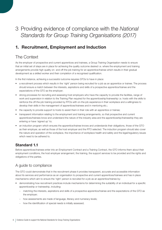3 Providing evidence of compliance with the *National Standards for Group Training Organisations (2017)*

# **1. Recruitment, Employment and Induction**

# The Context

As the employer of prospective and current apprentices and trainees, a Group Training Organisation needs to ensure that an initial set of steps are in place for achieving the quality outcome desired i.e. where the employment and training arrangements provide high quality on- and off-the-job training for an apprentice/trainee which results in their gradual development as a skilled worker and their completion of a recognised qualification.

In the first instance, achieving a successful outcome requires GTOs to have in place:

- a recruitment process which results in the 'right' person being recruited for a job as an apprentice or trainee. The process should ensure a match between the interests, aspirations and skills of a prospective apprentice/trainee and the expectations of the GTO as the employer;
- strong processes for recruiting and assessing host employers who have the capacity to provide the facilities, range of work and supervision in relation to the Training Plan required for the apprenticeship/traineeship i.e. hosts with the skills to reinforce the off-the-job training provided by RTOs with on-the-job experience in their workplace and a willingness to develop their skills in the management of apprentices/trainees and in mentoring etc.;
- the capacity to provide support to hosts to assist them in their role with an apprentice or trainee;
- transparent information relating to the employment and training arrangements, so that prospective and current apprentices/trainees know and understand the nature of the industry area and the apprenticeship/traineeship they are entering or have 'signed up' to;
- an induction program which ensures the apprentice/trainee knows and understands their obligations, those of the GTO as their employer, as well as those of the host employer and the RTO selected. The induction program should also cover the nature and operation of the workplace, the importance of workplace health and safety and the legal/regulatory issues which need to be adhered to.

#### **Standard 1.1**

Before apprentices/trainees enter into an Employment Contract and a Training Contract, the GTO informs them about their employment conditions, the host employer arrangement, the training, the support services to be provided and the rights and obligations of the parties.

#### A guide to compliance

The GTO could demonstrate that in the recruitment phase it provides transparent, accurate and accessible information about its services and performance as an organisation to prospective and current apprentices/trainees and has in place mechanisms which aim to ensure the 'right' person is recruited for a job as an apprentice/trainee by:

- demonstrating how recruitment practices include mechanisms for determining the suitability of an individual for a specific apprenticeship or traineeship, including:
	- matching the interests, aspirations and skills of a prospective apprentice/trainee and the expectations of the GTO as the employer;
	- how assessments are made of language, literacy and numeracy levels;
	- how the identification of special needs is initially assessed;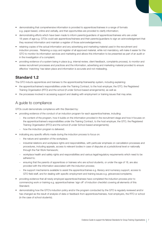- demonstrating that comprehensive information is provided to apprentices/trainees in a range of formats e.g. paper-based, online and verbally, and that opportunities are provided to clarify information;
- demonstrating efforts which have been made to inform parents/guardians of apprentices/trainees who are under 18 years of age e.g. GTOs could ask apprentices/trainees and their parents/guardians to sign an acknowledgement that they received information and maintain a register of those acknowledgements;
- retaining copies of the actual information and any advertising and marketing material used in the recruitment and induction process. Retaining a copy and register of all approved material, while not mandatory, will make it easier for the GTO to monitor its information services and marketing and allows this information to be presented as part of an audit or in the investigation of a complaint;
- providing evidence of a system being in place (e.g. internal review, client feedback, complaints process), to monitor and review recruitment processes and practices and the information, advertising and marketing material provided to ensure effective 'matching' has taken place and information is accurate and not misleading.

#### **Standard 1.2**

The GTO inducts apprentices and trainees to the apprenticeship/traineeship system, including explaining:

- the apprentice/trainee's responsibilities under the Training Contract, to the host employer, the GTO, the Registered Training Organisation (RTO) and the school (if under School-based arrangements); as well as
- the processes involved in accessing support and dealing with employment or training issues that may arise.

#### A guide to compliance

- providing evidence of the conduct of an induction program for each apprentice/trainee, including:
	- the content of the program, how it builds on the information provided in the recruitment stage and how it focuses on the apprentice/trainee's responsibilities under the Training Contract, to the host employer, the GTO, the Registered Training Organisation (RTO) and the school (if under School-based arrangements);
	- how the induction program is delivered;
- indicating any specific efforts made during the induction process to focus on:
	- the nature and operation of the workplace;
	- industrial relations and workplace rights and responsibilities, with particular emphasis on cancellation processes and procedures, including appeals, access to relevant bodies in case of disputes at a jurisdictional level or nationally through the Fair Work framework;
	- workplace health and safety rights and responsibilities and various legal/regulatory requirements which need to be adhered to;
	- ensuring that the parents of apprentices or trainees who are school students, or under the age of 18, are also provided with the information associated with the induction process;
	- the support mechanisms available to assist the apprentice/trainee e.g. literacy and numeracy support, access to GTO field staff, and for dealing with specific employment and training issues e.g. grievances/complaints;
- providing evidence that all newly employed apprentices/trainees have completed the induction process prior to commencing work or training e.g. apprentice/trainee 'sign off' of induction checklist covering all elements of this Standard;
- demonstrating how the GTO's induction policy and/or the program conducted by the GTO is regularly reviewed and/or has changed as the result of analysis of data or feedback from apprentices/trainees, host employers, the RTO or school (in the case of school students).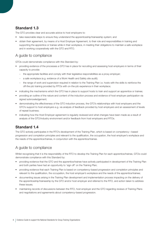#### **Standard 1.3**

The GTO provides clear and accurate advice to host employers to:

- take reasonable steps to ensure they understand the apprenticeship/traineeship system; and
- obtain their agreement, by means of a Host Employer Agreement, to their role and responsibilities in training and supporting the apprentice or trainee while in their workplace, in meeting their obligations to maintain a safe workplace and in working cooperatively with the GTO and RTO.

#### A guide to compliance

GTOs could demonstrate compliance with this Standard by:

- providing evidence of the processes a GTO has in place for recruiting and assessing host employers in terms of their capacity to provide:
	- the appropriate facilities and comply with their legislative responsibilities as a proxy employer;
	- a safe workplace (e.g. evidence of a Work Health and Safety site audit);
	- the range of work and supervision required in relation to the Training Plan i.e. hosts with the skills to reinforce the off-the-job training provided by RTOs with on-the-job experience in their workplace;
- indicating the mechanisms which the GTO has in place to support hosts to train and support an apprentice or trainee;
- providing an outline of the nature and content of the induction process and evidence of host employer participation via signed acknowledgement;
- demonstrating the effectiveness of the GTO induction process, the GTO's relationships with host employers and the GTO's support to host employers e.g. via analysis of feedback provided by host employers and an assessment of levels of repeat business;
- indicating how the Host Employer agreement is regularly reviewed and what changes have been made as a result of analysis of the GTO/industry environment and/or feedback from host employers and RTOs.

#### **Standard 1.4**

The GTO actively participates in the RTO's development of the Training Plan, which is based on competency—based progression and completion principles and relevant to the qualification, the occupation, the host employer's workplace and the needs of the apprentice/trainee, in conjunction with the apprentice/trainee.

#### A guide to compliance

Whilst recognising that it is the responsibility of the RTO to develop the Training Plan for each apprentice/trainee, GTOs could demonstrate compliance with this Standard by:

- providing evidence that the GTO and the apprentice/trainee have actively participated in development of the Training Plan and both parties have had an opportunity to 'sign off' on the Training Plan;
- providing evidence that each Training Plan is based on competency-based progression and completion principles and relevant to the qualification, the occupation, the host employer's workplace and the needs of the apprentice/trainee;
- documenting issues arising in the Training Plan development and implementation process impacting on the delivery of the apprenticeship/traineeship by the GTO and/or host employer and referred to the RTO, and action taken to address these issues;
- maintaining records of discussions between the RTO, host employer and the GTO regarding reviews of Training Plans and negotiations and agreements about competency-based progression.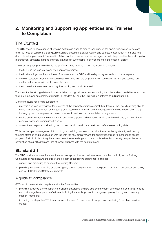# **2. Monitoring and Supporting Apprentices and Trainees to Completion**

# The Context

The GTO needs to have a range of effective systems in place to monitor and support the apprentice/trainee to increase their likelihood of completing their qualification and becoming a skilled worker and address issues which might lead to a discontinued apprenticeship/traineeship. Achieving this outcome requires the organisation to be pro-active, have strong risk management strategies in place and clear practices in customising its services to meet the needs of clients.

Demonstrating compliance with this group of Standards requires a strong relationship between:

- the GTO, as the legal employer of an apprentice/trainee;
- the host employer, as the purchaser of services from the GTO and the day to day supervisor in the workplace;
- the RTO selected, given their responsibility to engage with the employer when developing training and assessment strategies for inclusion in the Training Plan; and
- the apprentice/trainee in undertaking their training and productive work.

The basis for this strong relationship is established through all parties understanding the roles and responsibilities of each in the Host Employer Agreement, referred to in Standard 1.3 and the Training Plan, referred to in Standard 1.4.

Monitoring levels need to be sufficient to:

- maintain high level oversight of the progress of the apprentice/trainee against their Training Plan, including being able to make a regular assessment of the quality and breadth of their work; and the adequacy of the supervision of on-the-job training by the host employer and any consequent need to coordinate rotation arrangements;
- enable decisions about the nature and frequency of support and mentoring required in the workplace, in line with the needs of hosts and apprentices/trainees;
- assess the workplace provided by the host and monitor workplace health and safety issues during visits.

While the third-party arrangement intrinsic to group training contains some risks, these can be significantly reduced by focusing attention and resources on working with the host employer and the apprentice/trainee to monitor and assess progress. Risks include putting the apprentice or trainee in danger from a workplace health and safety perspective, noncompletion of a qualification and loss of repeat business with the host employer.

#### **Standard 2.1**

The GTO provides services that meet the needs of apprentices and trainees to facilitate the continuity of the Training Contract to completion and the quality and breadth of the training experience, including:

- support and mentoring throughout the Training Contract;
- providing resources or advice or procuring any special equipment for the workplace in order to meet access and equity and Work Health and Safety requirements.

#### A guide to compliance

- providing evidence of the support mechanisms advertised and available over the term of the apprenticeship/traineeship and their usage by apprentices/trainees, including for specific population or age groups e.g. literacy and numeracy support, mentoring;
- indicating the steps the GTO takes to assess the need for, and level of, support and mentoring for each apprentice/ trainee;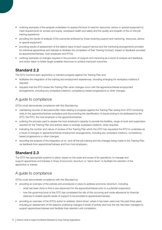- outlining examples of the analysis undertaken to assess the level of need for resources, advice or special equipment to meet requirements for access and equity, workplace health and safety and the quality and breadth of the on-the-job training experience;
- providing the results of analysis of the outcomes achieved by those receiving support and mentoring, resources, advice or special equipment;
- providing results of assessment of the relative value of each support service and the mentoring arrangements provided for individual apprentices and trainees to facilitate the completion of their Training Contract, based on feedback provided by apprentices/trainees, host employers and RTOs;
- outlining examples of changes required in the provision of support and mentoring as a result of analysis and feedback, and action taken to better target available resources to achieve improved outcomes.

#### **Standard 2.2**

The GTO monitors each apprentice or trainee's progress against the Training Plan and:

- facilitates the integration of the training and employment experiences, including arranging for workplace rotations if required;
- requests that the RTO review the Training Plan when changes occur with the apprentice/trainee employment arrangements, including any workplace rotations, competency-based progressions or other changes.

#### A guide to compliance

GTOs could demonstrate compliance with this Standard by:

- maintaining records of discussions/file notes relating to progress against the Training Plan arising from GTO monitoring visits to the apprentice/trainee workplace and documenting the identification of issues arising to be addressed by the GTO, the RTO, the host employer or the apprentice/trainee;
- outlining the process used to assess the host employer's capacity to provide the facilities, range of work and supervision required for the Training Plan and actions taken to arrange workplace rotations, when required;
- indicating the number and nature of reviews of the Training Plan which the GTO has requested the RTO to undertake as a result of changes to apprentice/trainee employment arrangements, including any workplace rotations, competencybased progressions or other changes;
- recording the analysis of the integration of on- and off-the-job training and the changes being made to the Training Plan via feedback from apprentices/trainees and from host employers.

#### **Standard 2.3**

The GTO has appropriate systems in place, based on the scale and scope of its operations, to manage and support apprentices and trainees in times of economic downturn or 'stand down' to facilitate the retention of the apprentice or trainee.

#### A guide to compliance

- providing an overview of the policies and procedures in place to address economic downturn, including:
	- what has been done to find a new placement for the apprentice/trainee prior to a potential suspension;
	- how the governing body of the GTO has considered the risk of this occurring and made allowance for financial reserves to enable specific levels of support to be provided to apprentices/trainees;
- providing an overview of the GTO's action to address 'stand down' where it has been used over the past three years, including an assessment of the reasons underlying changes in levels of activity and how the risk has been managed to support apprentices/trainees and facilitate their retention until completion;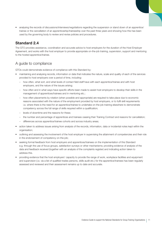• analysing the records of discussions/interviews/negotiations regarding the suspension or stand down of an apprentice/ trainee or the cancellation of an apprenticeship/traineeship over the past three years and showing how this has been used by the governing body to review and revise policies and procedures.

#### **Standard 2.4**

The GTO provides assistance, coordination and accurate advice to host employers for the duration of the Host Employer Agreement, and works with the host employer to provide appropriate on-the-job training, supervision, support and mentoring to the hosted apprentice/trainee.

#### A guide to compliance

- maintaining and analysing records, information or data that indicates the nature, scale and quality of each of the services provided to host employers over a period of time, including:
	- how often, what sort, and what levels of contact field staff have with each apprentice/trainee and with host employers, and the nature of the issues arising;
	- how often and in what ways have specific efforts been made to assist host employers to develop their skills in the management of apprentices/trainees and in mentoring etc.;
	- how often placements by rotation (when possible and appropriate) are required to take place due to economic reasons associated with the nature of the employment provided by host employers, or to fulfil skill requirements i.e. where there is the need for an apprentice/trainee to undertake on-the-job training elsewhere to demonstrate competency across the full range of skills required within a qualification;
	- levels of downtime and the reasons for these;
	- the number and percentage of apprentices and trainees ceasing their Training Contract and reasons for cancellation;
	- differences across apprentice/trainee cohorts and across industry areas;
- action taken to address issues arising from analysis of the records, information, data or incidental notes kept within the organisation;
- outlining and assessing the involvement of the host employer in supervising the attainment of competencies and their role in the endorsement of competency on-the-job;
- seeking formal feedback from host employers and apprentices/trainees on the implementation of this Standard e.g. through the use of focus groups, satisfaction surveys or other mechanisms; providing evidence of analysis of the data and feedback received (together with an analysis of the complaints register) and indicating action taken to address this.
- providing evidence that the host employers' capacity to provide the range of work, workplace facilities and equipment and supervision (i.e. via a list of qualified trades persons, skills audit etc.) for the apprentice/trainees has been regularly assessed and reviewed and their assessment remains up to date and accurate.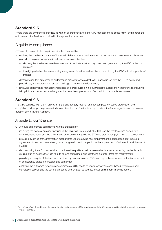#### **Standard 2.5**

Where there are any performance issues with an apprentice/trainee, the GTO manages these issues fairly<sup>1</sup>, and records the outcome and the feedback provided to the apprentice or trainee.

# A guide to compliance

GTOs could demonstrate compliance with this Standard by:

- outlining the number and nature of issues which have required action under the performance management policies and procedures in place for apprentices/trainees employed by the GTO;
	- showing that the issues have been analysed to indicate whether they have been generated by the GTO or the host employer;
	- identifying whether the issues arising are systemic in nature and require some action by the GTO with all apprentices/ trainees;
- demonstrating that outcomes of performance management are dealt with in accordance with the GTO's policy and procedures, are recorded, and are acknowledged by the apprentice/trainee;
- reviewing performance management policies and procedures on a regular basis to assess their effectiveness, including taking into account evidence arising from the complaints process and feedback from apprentices/trainees.

### **Standard 2.6**

The GTO complies with Commonwealth, State and Territory requirements for competency-based progression and completion and supports genuine efforts to achieve the qualification in an appropriate timeframe regardless of the nominal duration of the Training Contract.

#### A guide to compliance

- indicating the nominal duration specified in the Training Contracts which a GTO, as the employer, has signed with apprentices/trainees, and the policies and procedures that guide the GTO and staff in complying with the requirements;
- providing evidence of the information mechanisms used to advise host employers and apprentices about industrial agreements to support competency based progression and completion in the apprenticeship/traineeship and the role of the RTO;
- demonstrating the efforts undertaken to achieve the qualification in a reasonable timeframe, including mechanisms for guiding staff on actions they can take to ensure compliance, and identifying potential areas for improvement;
- providing an analysis of the feedback provided by host employers, RTOs and apprentices/trainees on the implementation of competency-based progression and completion;
- analysing the outcomes for apprentices/trainees of GTO efforts to implement competency-based progression and completion policies and the actions proposed and/or taken to address issues arising from implementation.

<sup>1</sup> The term 'fairly' refers to the need to ensure that provision for natural justice and procedural fairness are incorporated in the GTO processes associated with their assessment of an apprentice or trainee's performance.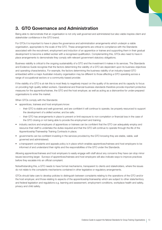# **3. GTO Governance and Administration**

Being able to demonstrate that an organisation is not only well governed and administered but also viable inspires client and stakeholder confidence in the GTO brand.

For GTOs it is important to have in place the governance and administration arrangements which underpin a viable organisation, appropriate to the scale of the GTO. These arrangements are critical to compliance with the Standards associated with the recruitment, employment and induction of an apprentice or trainee and supporting them in their gradual development to become a skilled worker with a recognised qualification. Complementing this, GTOs also need to have in place arrangements to demonstrate they comply with relevant government statutory obligations.

Business viability is critical to the ongoing sustainability of a GTO and the investment it makes in its services. The Standards and Evidence Guide recognise that the factors determining the viability of a GTO are dependent upon its business objectives and operating characteristics. For example, the factors determining the business viability of an industry-based GTO embedded within a major Australian industry organisation may be different to those affecting a GTO operating across a range of occupational sectors or a community-based provider.

If the viability of a GTO is at risk this is most likely to negatively impact on the quality of its services and its capacity to focus on providing high quality skilled workers. Operational and financial business standards therefore provide important protective measures for the apprentice/trainee, the GTO and the host employer, as well as acting as a disincentive for under-prepared organisations to enter the market.

When GTOs comply with the Standards:

- apprentices, trainees and host employers know:
	- their GTO is stable and well-governed, and are confident it will continue to operate, be properly resourced to support the development of a skilled worker, and be safe;
	- their GTO has arrangements in place to prevent or limit exposure to non-completion or financial loss in the case of the GTO closing or not being able to provide the employment and training;
- industry sectors and employers of apprentices or trainees can be confident that the GTO can adequately employ and resource their staff to undertake the duties required and that the GTO will continue to operate through the life of the Apprenticeship/Traineeship Training Contracts in place;
- governments can be confident investing in the services provided by the GTO knowing they are stable, viable, well governed and administered;
- a transparent complaints and appeals policy is in place which enables apprentices/trainees and host employers to be informed of and understand their rights and the responsibilities of the GTO under the Standards.

Allowing apprentices/trainees and host employers to easily engage with staff about any concerns they have can stop minor issues becoming larger. Surveys of apprentices/trainees and host employers will also indicate ways to improve practices before they escalate into an official complaint.

Notwithstanding this, a GTO needs to have formal mechanisms, transparent to clients and stakeholders, where the issues do not relate to the complaints mechanisms contained in other legislative or regulatory arrangements.

GTOs should take care to develop policies to distinguish between complaints relating to the operations of the GTO and/or the host employer, and those relating to aspects of the apprenticeship/traineeship which are subject to other state/territory and federal legislation and regulations e.g. learning and assessment, employment conditions, workplace health and safety, privacy and child safety.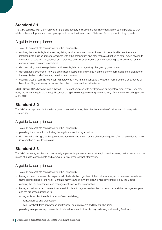#### **Standard 3.1**

The GTO complies with Commonwealth, State and Territory legislative and regulatory requirements and policies as they relate to the employment and training of apprentices and trainees in each State and Territory in which they operate.

#### A guide to compliance

GTOs could demonstrate compliance with this Standard by:

- outlining the specific legislative and regulatory requirements and policies it needs to comply with, how these are integrated into policies and/or procedures within the organisation and how these are kept up to date, e.g. in relation to the State/Territory VET Act, policies and guidelines and industrial relations and workplace rights matters such as the cancellation process and procedures;
- demonstrating how the organisation addresses legislative or regulatory changes by governments;
- demonstrating evidence of how the organisation keeps staff and clients informed of their obligations, the obligations of the organisation and of hosts, apprentices and trainees;
- outlining areas of compliance requiring improvement within the organisation, following internal analysis or evidence of breaches of legislation/regulation, and the actions taken to address the issue.

NOTE: Should STAs become aware that a GTO has not complied with any legislative or regulatory requirement, they may notify the relevant regulatory agency. Breaches of legislative or regulatory requirements may affect the continued registration of the GTO.

#### **Standard 3.2**

The GTO is incorporated in Australia, a government entity, or regulated by the Australian Charities and Not-for-profits Commission

#### A guide to compliance

GTOs could demonstrate compliance with this Standard by:

- providing documentation indicating the legal status of the organisation;
- demonstrating changes to the governance framework as a result of any alterations required of an organisation to retain incorporation or regulation status.

#### **Standard 3.3**

The GTO develops, monitors and continually improves its performance and strategic directions using performance data, the results of audits, assessments and surveys plus any other relevant information.

#### A guide to compliance

- having a current business plan in place, which details the objectives of the business, analysis of business markets and financial projections for the next 12 and 24 months and showing the plan is regularly considered by the Board;
- outlining the risk assessment and management plan for the organisation;
- having a continuous improvement framework in place to regularly review the business plan and risk management plan and the processes designed to:
	- regularly monitor the effectiveness of service delivery;
	- review policies and procedures;
	- seek feedback from apprentices and trainees, host employers and key stakeholders;
	- providing examples of improvements introduced as a result of monitoring, reviewing and seeking feedback;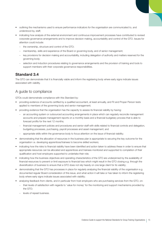- outlining the mechanisms used to ensure performance indicators for the organisation are communicated to, and understood by, staff;
- indicating how analysis of the external environment and continuous improvement processes have contributed to revised corporate governance arrangements and to improve decision making, accountability and control of the GTO. Issues for attention could include:
	- the ownership, structure and control of the GTO;
	- membership, skills and experience of the Board or governing body, and of senior management;
	- key provisions for decision making and accountability, including delegation of authority and matters reserved for the governing body;
	- selection and induction procedures relating to governance arrangements and the provision of training and tools to support members with their corporate governance responsibilities.

#### **Standard 3.4**

The GTO can demonstrate that it is financially viable and inform the registering body where early signs indicate issues associated with viability.

#### A guide to compliance

- providing evidence of accounts certified by a qualified accountant, at least annually, and Fit and Proper Person tests applied to members of the governing body and senior management;
- providing evidence that the organisation has the capacity to assess its financial viability by having:
	- an accounting system or outsourced accounting arrangements in place which can regularly reconcile management accounts and prepare management reports on a monthly basis and a financial budgetary process that is able to forecast profits for the next 12 months;
	- financial management policies and procedures and senior staff with skills related to financial controls and delegation, budgeting processes, purchasing, payroll processes and asset management; and
	- appropriate skills within the governance body to focus attention on the issue of financial viability;
- demonstrating that the allocation of resources in the business plan is appropriate to securing the key outcome for the organisation i.e. developing apprentices/trainees to become skilled workers;
- indicating how the risks to financial viability have been identified and action taken to address these in order to ensure that appropriate resources can be allocated and apprentices and trainees monitored and supported to completion of their qualification and host employers supported to undertake their role;
- indicating how the business objectives and operating characteristics of the GTO are underpinned by the availability of financial resources to prevent or limit exposure to financial loss which might result in the GTO closing e.g. through the diversification of business to ensure that a GTO does not rely heavily on one large client for its viability;
- demonstrating that the GTO has processes in place for regularly analysing the financial viability of the organisation e.g. documented regular Board consideration of this issue, and what action it will take or has taken to inform the registering body where early signs indicate issues associated with viability;
- analysing feedback from clients, and in particular from host employers who are purchasing services from the GTO, on:
	- their levels of satisfaction with regards to 'value for money' for the monitoring and support mechanisms provided by the GTO;
	- levels of repeat business.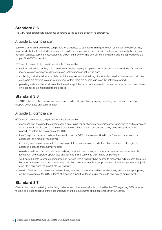#### **Standard 3.5**

The GTO holds appropriate insurances according to the size and scope of its operations.

#### A guide to compliance

Some of these insurances will be compulsory for a business to operate within its jurisdiction; others will be optional. They may include, but not be limited to insurance for workers compensation, public liability, professional indemnity, building and contents, vehicles, debtors, host equipment, cyber insurance etc. The level of insurance held should be appropriate to the scope of the GTO's operations.

GTOs could demonstrate compliance with this Standard by:

- retaining evidence that they hold these insurances by keeping a copy of a certificate of currency or similar. Quotes and invoices are not sufficient evidence to prove that insurance is actually in place;
- confirming that all activities associated with the employment and training of staff and apprentices/trainees and with host employers are covered in a sufficient manner, or that there are no restrictions on the activities covered;
- providing evidence which indicates that the various policies have been reviewed on an annual basis or upon need, based on feedback or events related to the policies.

#### **Standard 3.6**

The GTO adheres to the principles of access and equity in all operations including marketing, recruitment, monitoring, support, governance and administration.

#### A guide to compliance

GTOs could demonstrate compliance with this Standard by:

- monitoring and analysing the outcomes for clients, in particular of apprentices/trainees facing barriers to participation and achievement in training and employment, as a result of implementing access and equity principles, policies and procedures within the operations of the GTO;
- identifying improvements made to the operations of the GTO in the areas outlined in the Standard, or issues to be addressed, as a result of this analysis;
- indicating improvements made to the training of staff or host employers and information provided on strategies for addressing access and equity principles;
- providing evidence of appropriate services being provided or partnering with specialist organisations to assist in the recruitment and support of apprentices and trainees facing barriers to training and employment;
- working with hosts to ensure apprentices and trainees with a disability have access to reasonable adjustments if required i.e. work processes, practices, procedures or environments that enable an employee with disability to perform their job in a way that minimises the impact of their disability.
- seeking feedback from clients and stakeholders, including organisations with specialist equity skills, where appropriate, on the operations of the GTO in terms of providing support for those facing barriers to training and employment.

#### **Standard 3.7**

Clear and accurate marketing, advertising materials and other information is provided by the GTO regarding GTO services, the role and responsibilities of the host employer and the requirements of the apprenticeship/traineeship.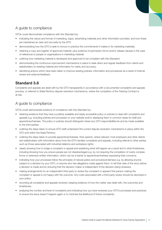### A guide to compliance

GTOs could demonstrate compliance with this Standard by:

- indicating the nature and format of marketing, logos, advertising materials and other information provided, and how these are maintained as clear and accurate by the GTO
- demonstrating how the GTO is able to honour in practice the commitments it makes in its marketing materials;
- retaining a copy and register of approved material, plus evidence of permission forms and/or release clauses in the case of references to people or organisations in marketing material;
- outlining how marketing material is developed and approved to be compliant with this Standard;
- demonstrating the continuous improvement mechanisms in place to seek direct and regular feedback from clients and stakeholders on existing material and information for clarity and accuracy;
- identifying actions which have been taken to improve existing policies, information and procedures as a result of internal review and external feedback.

#### **Standard 3.8**

Complaints and appeals are dealt with by the GTO transparently in accordance with a documented complaints and appeals process, or referred to State/Territory dispute resolution mechanisms, where the completion of the Training Contract is at risk.

#### A guide to compliance

- retaining evidence that they have a publicly available and easily accessible policy or policies to deal with complaints and appeals e.g. including policies and processes on your website and/or displaying them in common areas for staff and apprentices/trainees. The policy or policies should distinguish where any GTO responsibilities lie and be made available to the third parties;
- outlining the steps taken to ensure GTO staff understand the current dispute resolution mechanisms in place within the GTO and within the State/Territory;
- outlining the steps taken to provide apprentices/trainees, their parents, where relevant, host employers and other clients and stakeholders with information about how the GTO handles complaints and appeals, including referral to other parties such as those associated with industrial relations and workplace rights;
- clearly showing how to lodge a complaint or appeal and explaining what will happen as a result and in what timeframes, including showing how you ensure people are not disadvantaged e.g. by not requiring the completion of overly complex forms or extensive written information, which can be a barrier to apprentices/trainees expressing their concerns;
- indicating how your processes follow the principles of natural justice and procedural fairness e.g. by allowing anyone subject to a decision by your GTO, or anyone who has allegations made against them, to tell their side of the story before a decision is made and by ensuring that the decision maker is independent of the decision being reviewed;
- making arrangements for an independent third party to review the complaint or appeal if the person making the complaint or appeal is not happy with the outcome. Any costs associated with a third party review should be disclosed in your policy;
- recording all complaints and appeals received, keeping evidence of how the matter was dealt with, the outcomes and timeframes;
- analysing the number and level of complaints and indicating how you have reviewed your GTO's processes and practices to ensure the issue doesn't happen again or to minimise the likelihood of future complaints.